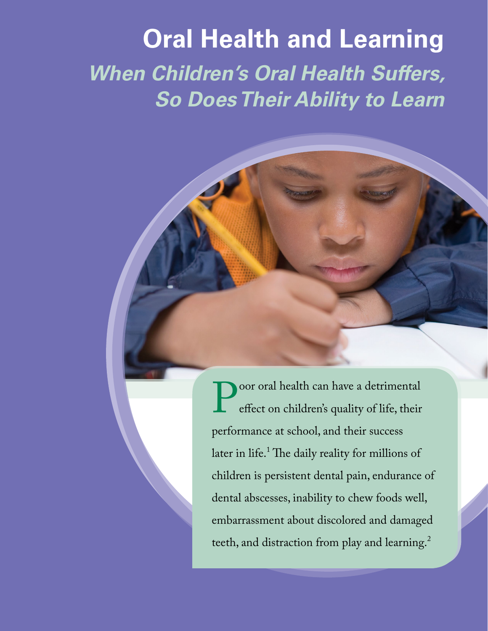# **Oral Health and Learning** *When Children's Oral Health Suffers, So Does Their Ability to Learn*

Poor oral health can have a detrimental<br>effect on children's quality of life, their effect on children's quality of life, their performance at school, and their success later in life.<sup>1</sup> The daily reality for millions of children is persistent dental pain, endurance of dental abscesses, inability to chew foods well, embarrassment about discolored and damaged teeth, and distraction from play and learning.<sup>2</sup>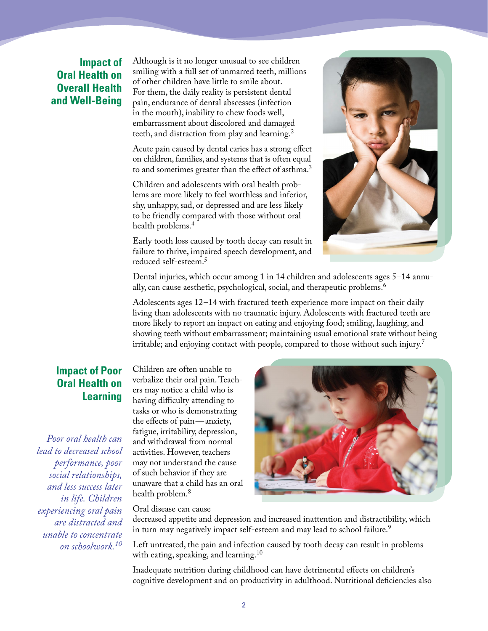## **Impact of Oral Health on Overall Health and Well-Being**

Although is it no longer unusual to see children smiling with a full set of unmarred teeth, millions of other children have little to smile about. For them, the daily reality is persistent dental pain, endurance of dental abscesses (infection in the mouth), inability to chew foods well, embarrassment about discolored and damaged teeth, and distraction from play and learning.<sup>2</sup>

Acute pain caused by dental caries has a strong effect on children, families, and systems that is often equal to and sometimes greater than the effect of asthma.<sup>3</sup>

Children and adolescents with oral health problems are more likely to feel worthless and inferior, shy, unhappy, sad, or depressed and are less likely to be friendly compared with those without oral health problems.<sup>4</sup>

Early tooth loss caused by tooth decay can result in failure to thrive, impaired speech development, and reduced self-esteem.5



Dental injuries, which occur among 1 in 14 children and adolescents ages 5–14 annually, can cause aesthetic, psychological, social, and therapeutic problems.<sup>6</sup>

Adolescents ages 12–14 with fractured teeth experience more impact on their daily living than adolescents with no traumatic injury. Adolescents with fractured teeth are more likely to report an impact on eating and enjoying food; smiling, laughing, and showing teeth without embarrassment; maintaining usual emotional state without being irritable; and enjoying contact with people, compared to those without such injury.<sup>7</sup>

#### **Impact of Poor Oral Health on Learning**

*Poor oral health can lead to decreased school performance, poor social relationships, and less success later in life. Children experiencing oral pain are distracted and unable to concentrate on schoolwork.<sup>10</sup>*

Children are often unable to verbalize their oral pain. Teachers may notice a child who is having difficulty attending to tasks or who is demonstrating the effects of pain—anxiety, fatigue, irritability, depression, and withdrawal from normal activities. However, teachers may not understand the cause of such behavior if they are unaware that a child has an oral health problem.<sup>8</sup>

Oral disease can cause

decreased appetite and depression and increased inattention and distractibility, which in turn may negatively impact self-esteem and may lead to school failure.<sup>9</sup>

Left untreated, the pain and infection caused by tooth decay can result in problems with eating, speaking, and learning.<sup>10</sup>

Inadequate nutrition during childhood can have detrimental effects on children's cognitive development and on productivity in adulthood. Nutritional deficiencies also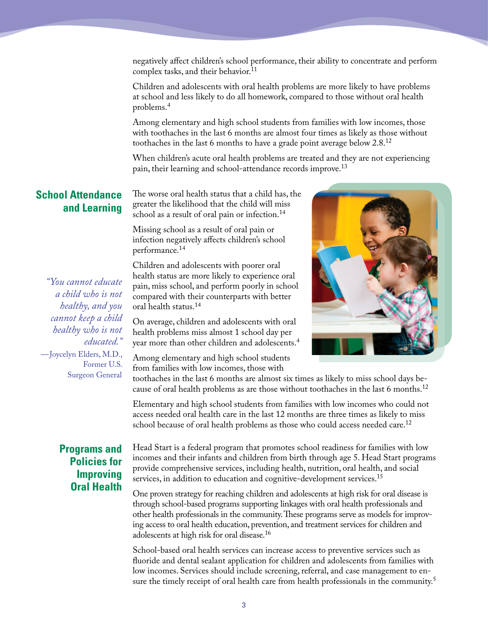negatively affect children's school performance, their ability to concentrate and perform complex tasks, and their behavior.<sup>11</sup>

Children and adolescents with oral health problems are more likely to have problems at school and less likely to do all homework, compared to those without oral health problems.4

Among elementary and high school students from families with low incomes, those with toothaches in the last 6 months are almost four times as likely as those without toothaches in the last 6 months to have a grade point average below 2.8.<sup>12</sup>

When children's acute oral health problems are treated and they are not experiencing pain, their learning and school-attendance records improve.<sup>13</sup>

### **School Attendance and Learning**

The worse oral health status that a child has, the greater the likelihood that the child will miss school as a result of oral pain or infection.<sup>14</sup>

Missing school as a result of oral pain or infection negatively affects children's school performance.14

*"You cannot educate a child who is not healthy, and you cannot keep a child healthy who is not educated."* —Joycelyn Elders, M.D., Former U.S. Surgeon General

Children and adolescents with poorer oral health status are more likely to experience oral pain, miss school, and perform poorly in school compared with their counterparts with better oral health status.14

On average, children and adolescents with oral health problems miss almost 1 school day per year more than other children and adolescents.4

Among elementary and high school students from families with low incomes, those with



toothaches in the last 6 months are almost six times as likely to miss school days because of oral health problems as are those without toothaches in the last 6 months.<sup>12</sup>

Elementary and high school students from families with low incomes who could not access needed oral health care in the last 12 months are three times as likely to miss school because of oral health problems as those who could access needed care.<sup>12</sup>

## **Programs and Policies for Improving Oral Health**

Head Start is a federal program that promotes school readiness for families with low incomes and their infants and children from birth through age 5. Head Start programs provide comprehensive services, including health, nutrition, oral health, and social services, in addition to education and cognitive-development services.<sup>15</sup>

One proven strategy for reaching children and adolescents at high risk for oral disease is through school-based programs supporting linkages with oral health professionals and other health professionals in the community. These programs serve as models for improving access to oral health education, prevention, and treatment services for children and adolescents at high risk for oral disease.16

School-based oral health services can increase access to preventive services such as fluoride and dental sealant application for children and adolescents from families with low incomes. Services should include screening, referral, and case management to ensure the timely receipt of oral health care from health professionals in the community.<sup>5</sup>